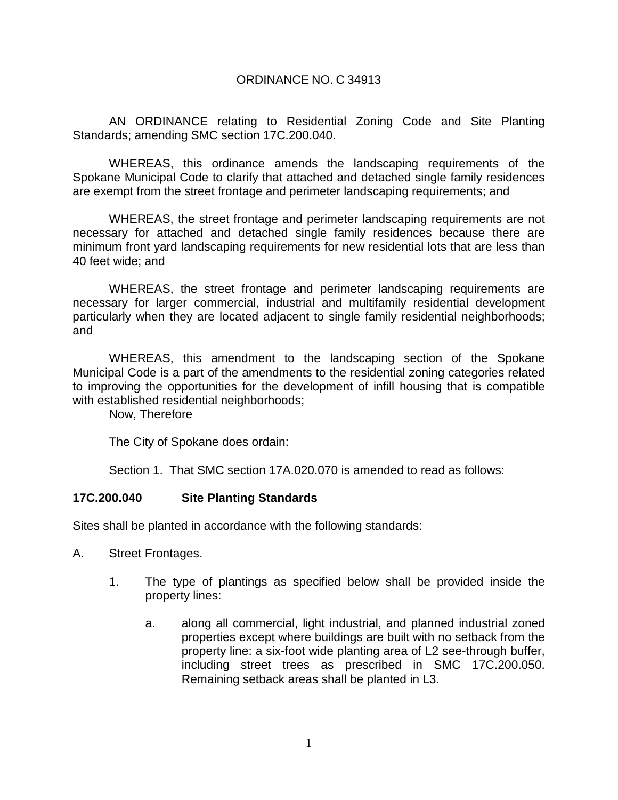#### ORDINANCE NO. C 34913

AN ORDINANCE relating to Residential Zoning Code and Site Planting Standards; amending SMC section 17C.200.040.

WHEREAS, this ordinance amends the landscaping requirements of the Spokane Municipal Code to clarify that attached and detached single family residences are exempt from the street frontage and perimeter landscaping requirements; and

WHEREAS, the street frontage and perimeter landscaping requirements are not necessary for attached and detached single family residences because there are minimum front yard landscaping requirements for new residential lots that are less than 40 feet wide; and

WHEREAS, the street frontage and perimeter landscaping requirements are necessary for larger commercial, industrial and multifamily residential development particularly when they are located adjacent to single family residential neighborhoods; and

WHEREAS, this amendment to the landscaping section of the Spokane Municipal Code is a part of the amendments to the residential zoning categories related to improving the opportunities for the development of infill housing that is compatible with established residential neighborhoods;

Now, Therefore

The City of Spokane does ordain:

Section 1. That SMC section 17A.020.070 is amended to read as follows:

#### **17C.200.040 Site Planting Standards**

Sites shall be planted in accordance with the following standards:

- A. Street Frontages.
	- 1. The type of plantings as specified below shall be provided inside the property lines:
		- a. along all commercial, light industrial, and planned industrial zoned properties except where buildings are built with no setback from the property line: a six-foot wide planting area of L2 see-through buffer, including street trees as prescribed in SMC 17C.200.050. Remaining setback areas shall be planted in L3.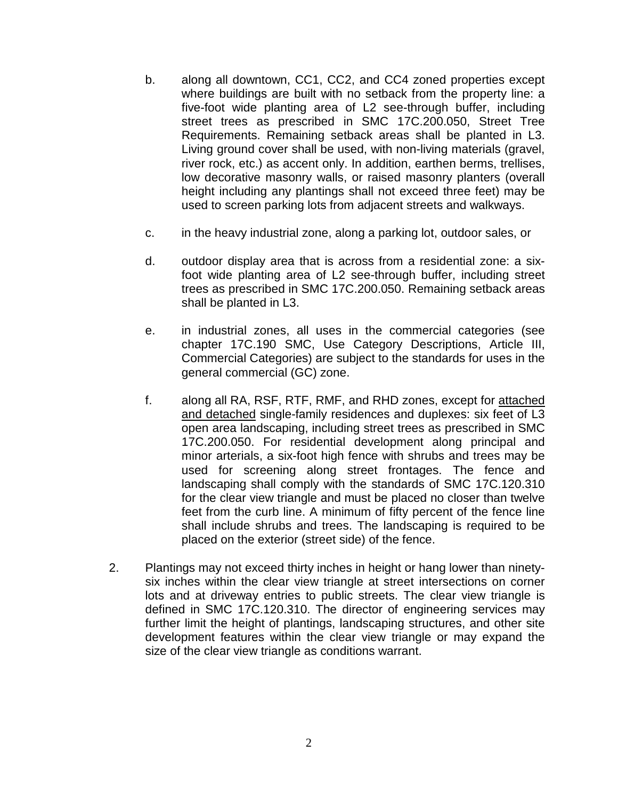- b. along all downtown, CC1, CC2, and CC4 zoned properties except where buildings are built with no setback from the property line: a five-foot wide planting area of L2 see-through buffer, including street trees as prescribed in SMC 17C.200.050, Street Tree Requirements. Remaining setback areas shall be planted in L3. Living ground cover shall be used, with non-living materials (gravel, river rock, etc.) as accent only. In addition, earthen berms, trellises, low decorative masonry walls, or raised masonry planters (overall height including any plantings shall not exceed three feet) may be used to screen parking lots from adjacent streets and walkways.
- c. in the heavy industrial zone, along a parking lot, outdoor sales, or
- d. outdoor display area that is across from a residential zone: a sixfoot wide planting area of L2 see-through buffer, including street trees as prescribed in SMC 17C.200.050. Remaining setback areas shall be planted in L3.
- e. in industrial zones, all uses in the commercial categories (see chapter 17C.190 SMC, Use Category Descriptions, Article III, Commercial Categories) are subject to the standards for uses in the general commercial (GC) zone.
- f. along all RA, RSF, RTF, RMF, and RHD zones, except for attached and detached single-family residences and duplexes: six feet of L3 open area landscaping, including street trees as prescribed in SMC 17C.200.050. For residential development along principal and minor arterials, a six-foot high fence with shrubs and trees may be used for screening along street frontages. The fence and landscaping shall comply with the standards of SMC 17C.120.310 for the clear view triangle and must be placed no closer than twelve feet from the curb line. A minimum of fifty percent of the fence line shall include shrubs and trees. The landscaping is required to be placed on the exterior (street side) of the fence.
- 2. Plantings may not exceed thirty inches in height or hang lower than ninetysix inches within the clear view triangle at street intersections on corner lots and at driveway entries to public streets. The clear view triangle is defined in SMC 17C.120.310. The director of engineering services may further limit the height of plantings, landscaping structures, and other site development features within the clear view triangle or may expand the size of the clear view triangle as conditions warrant.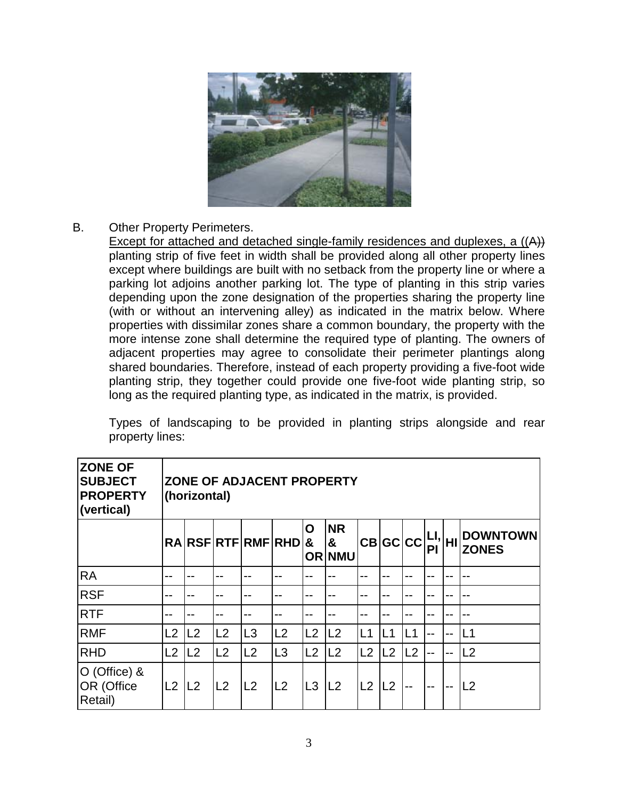

## B. Other Property Perimeters.

Except for attached and detached single-family residences and duplexes, a ((A)) planting strip of five feet in width shall be provided along all other property lines except where buildings are built with no setback from the property line or where a parking lot adjoins another parking lot. The type of planting in this strip varies depending upon the zone designation of the properties sharing the property line (with or without an intervening alley) as indicated in the matrix below. Where properties with dissimilar zones share a common boundary, the property with the more intense zone shall determine the required type of planting. The owners of adjacent properties may agree to consolidate their perimeter plantings along shared boundaries. Therefore, instead of each property providing a five-foot wide planting strip, they together could provide one five-foot wide planting strip, so long as the required planting type, as indicated in the matrix, is provided.

Types of landscaping to be provided in planting strips alongside and rear property lines:

| <b>ZONE OF</b><br><b>SUBJECT</b><br><b>PROPERTY</b><br>(vertical) | ZONE OF ADJACENT PROPERTY<br>(horizontal) |                |                 |    |                 |                |                                 |                |                                                             |     |     |    |                                 |
|-------------------------------------------------------------------|-------------------------------------------|----------------|-----------------|----|-----------------|----------------|---------------------------------|----------------|-------------------------------------------------------------|-----|-----|----|---------------------------------|
|                                                                   |                                           |                |                 |    | RARSFRTFRMFRHD& | O              | <b>NR</b><br>&<br><b>OR NMU</b> |                | $ \mathsf{CB} \mathsf{GC} \mathsf{CC} $ EI, $ \mathsf{HI} $ |     |     |    | <b>DOWNTOWN</b><br><b>ZONES</b> |
| <b>RA</b>                                                         |                                           |                |                 |    |                 |                |                                 |                |                                                             |     |     |    |                                 |
| <b>RSF</b>                                                        | --                                        |                |                 |    |                 |                |                                 | --             |                                                             |     |     |    |                                 |
| <b>RTF</b>                                                        |                                           |                |                 |    |                 |                |                                 |                |                                                             |     |     |    |                                 |
| <b>RMF</b>                                                        | L2                                        | L2             | IL <sub>2</sub> | L3 | L2              | L2             | L2                              | L1             | IL1                                                         | IL1 |     | -- | L1                              |
| RHD                                                               | L2                                        | L <sub>2</sub> | IL <sub>2</sub> | L2 | L3              | L2             | L2                              | L2             | L2                                                          | L2  | --  | -- | L <sub>2</sub>                  |
| O (Office) &<br>OR (Office<br>Retail)                             | L2                                        | L2             | L2              | L2 | L <sub>2</sub>  | L <sub>3</sub> | L2                              | L <sub>2</sub> | L2                                                          | $-$ | $-$ | -- | L <sub>2</sub>                  |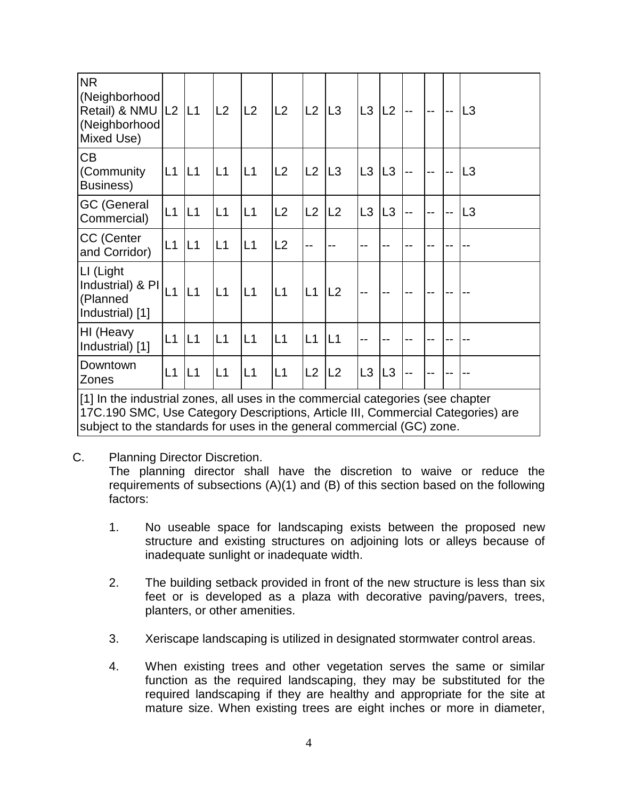| <b>NR</b><br>(Neighborhood<br>Retail) & NMU   L2<br>(Neighborhood<br>Mixed Use) |           | L1              | L2              | L2 | L2 | L <sub>2</sub> | L3              | L3             | L2             |  |  | L3             |
|---------------------------------------------------------------------------------|-----------|-----------------|-----------------|----|----|----------------|-----------------|----------------|----------------|--|--|----------------|
| <b>CB</b><br>(Community<br>Business)                                            | $L1$ $L1$ |                 | L1              | L1 | L2 | L2             | L3              | L <sub>3</sub> | $\mathsf{L}3$  |  |  | L3             |
| <b>GC (General</b><br>Commercial)                                               | L1        | L1              | L1              | L1 | L2 | L2             | L <sub>2</sub>  | L <sub>3</sub> | L <sub>3</sub> |  |  | L <sub>3</sub> |
| CC (Center<br>and Corridor)                                                     | L1        | L1              | L1              | L1 | L2 | --             |                 | --             |                |  |  |                |
| LI (Light<br>Industrial) & PI<br>(Planned<br>Industrial) [1]                    | L1        | L1              | IL <sub>1</sub> | L1 | L1 | L1             | L2              | --             | $-$            |  |  |                |
| HI (Heavy<br>Industrial) [1]                                                    | L1        | IL <sub>1</sub> | L1              | L1 | L1 | L1             | IL <sub>1</sub> | --             |                |  |  |                |
| Downtown<br>Zones                                                               | L1        | L1              | L1              | L1 | L1 | L2             | L2              | L3             | L <sub>3</sub> |  |  |                |
|                                                                                 |           |                 |                 |    |    |                |                 |                |                |  |  |                |

[1] In the industrial zones, all uses in the commercial categories (see chapter 17C.190 SMC, Use Category Descriptions, Article III, Commercial Categories) are subject to the standards for uses in the general commercial (GC) zone.

C. Planning Director Discretion.

The planning director shall have the discretion to waive or reduce the requirements of subsections (A)(1) and (B) of this section based on the following factors:

- 1. No useable space for landscaping exists between the proposed new structure and existing structures on adjoining lots or alleys because of inadequate sunlight or inadequate width.
- 2. The building setback provided in front of the new structure is less than six feet or is developed as a plaza with decorative paving/pavers, trees, planters, or other amenities.
- 3. Xeriscape landscaping is utilized in designated stormwater control areas.
- 4. When existing trees and other vegetation serves the same or similar function as the required landscaping, they may be substituted for the required landscaping if they are healthy and appropriate for the site at mature size. When existing trees are eight inches or more in diameter,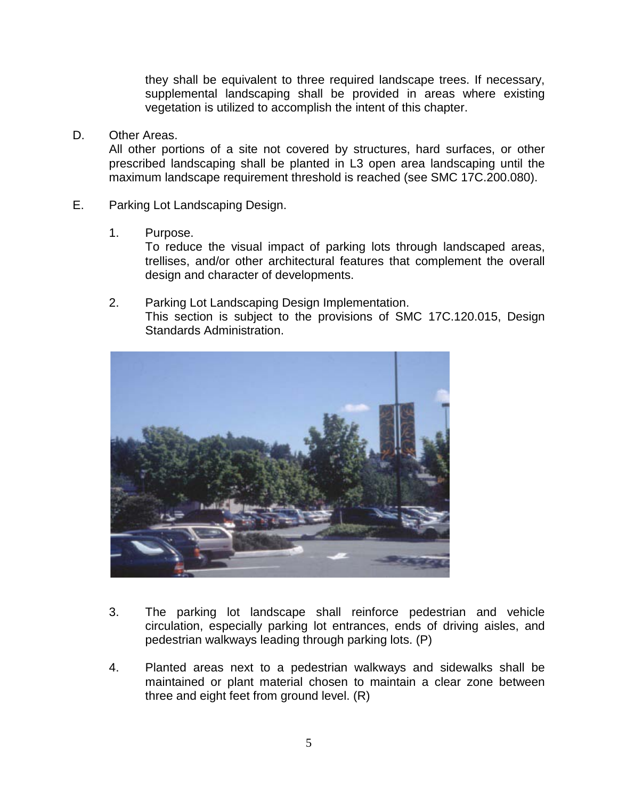they shall be equivalent to three required landscape trees. If necessary, supplemental landscaping shall be provided in areas where existing vegetation is utilized to accomplish the intent of this chapter.

### D. Other Areas.

All other portions of a site not covered by structures, hard surfaces, or other prescribed landscaping shall be planted in L3 open area landscaping until the maximum landscape requirement threshold is reached (see SMC 17C.200.080).

- E. Parking Lot Landscaping Design.
	- 1. Purpose.

To reduce the visual impact of parking lots through landscaped areas, trellises, and/or other architectural features that complement the overall design and character of developments.

2. Parking Lot Landscaping Design Implementation. This section is subject to the provisions of SMC 17C.120.015, Design Standards Administration.



- 3. The parking lot landscape shall reinforce pedestrian and vehicle circulation, especially parking lot entrances, ends of driving aisles, and pedestrian walkways leading through parking lots. (P)
- 4. Planted areas next to a pedestrian walkways and sidewalks shall be maintained or plant material chosen to maintain a clear zone between three and eight feet from ground level. (R)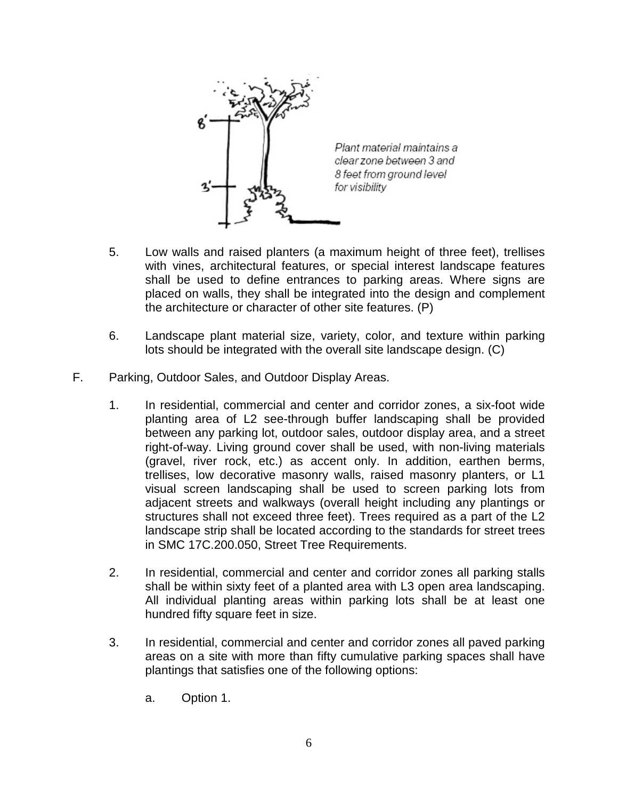

Plant material maintains a clear zone between 3 and 8 feet from ground level for visibility

- 5. Low walls and raised planters (a maximum height of three feet), trellises with vines, architectural features, or special interest landscape features shall be used to define entrances to parking areas. Where signs are placed on walls, they shall be integrated into the design and complement the architecture or character of other site features. (P)
- 6. Landscape plant material size, variety, color, and texture within parking lots should be integrated with the overall site landscape design. (C)
- F. Parking, Outdoor Sales, and Outdoor Display Areas.
	- 1. In residential, commercial and center and corridor zones, a six-foot wide planting area of L2 see-through buffer landscaping shall be provided between any parking lot, outdoor sales, outdoor display area, and a street right-of-way. Living ground cover shall be used, with non-living materials (gravel, river rock, etc.) as accent only. In addition, earthen berms, trellises, low decorative masonry walls, raised masonry planters, or L1 visual screen landscaping shall be used to screen parking lots from adjacent streets and walkways (overall height including any plantings or structures shall not exceed three feet). Trees required as a part of the L2 landscape strip shall be located according to the standards for street trees in SMC 17C.200.050, Street Tree Requirements.
	- 2. In residential, commercial and center and corridor zones all parking stalls shall be within sixty feet of a planted area with L3 open area landscaping. All individual planting areas within parking lots shall be at least one hundred fifty square feet in size.
	- 3. In residential, commercial and center and corridor zones all paved parking areas on a site with more than fifty cumulative parking spaces shall have plantings that satisfies one of the following options:
		- a. Option 1.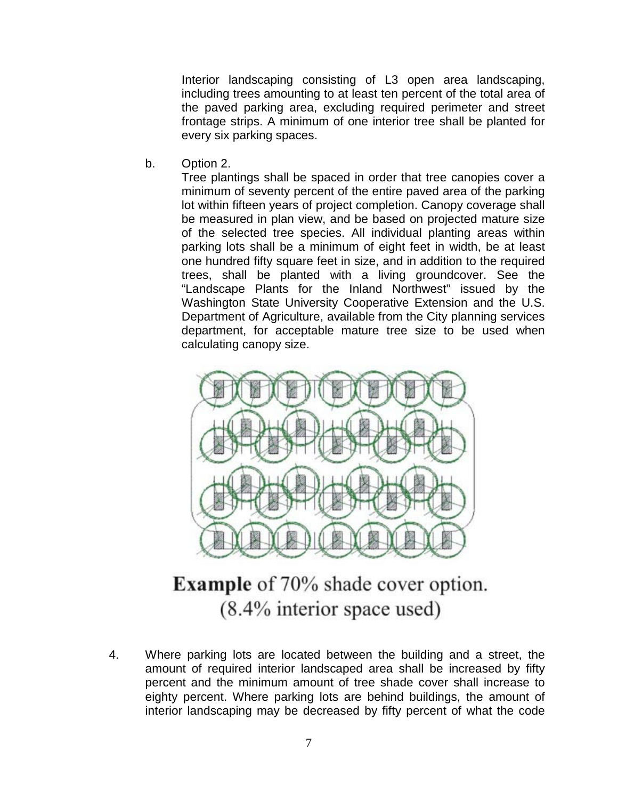Interior landscaping consisting of L3 open area landscaping, including trees amounting to at least ten percent of the total area of the paved parking area, excluding required perimeter and street frontage strips. A minimum of one interior tree shall be planted for every six parking spaces.

b. Option 2.

Tree plantings shall be spaced in order that tree canopies cover a minimum of seventy percent of the entire paved area of the parking lot within fifteen years of project completion. Canopy coverage shall be measured in plan view, and be based on projected mature size of the selected tree species. All individual planting areas within parking lots shall be a minimum of eight feet in width, be at least one hundred fifty square feet in size, and in addition to the required trees, shall be planted with a living groundcover. See the "Landscape Plants for the Inland Northwest" issued by the Washington State University Cooperative Extension and the U.S. Department of Agriculture, available from the City planning services department, for acceptable mature tree size to be used when calculating canopy size.



# **Example** of 70% shade cover option.  $(8.4\%$  interior space used)

4. Where parking lots are located between the building and a street, the amount of required interior landscaped area shall be increased by fifty percent and the minimum amount of tree shade cover shall increase to eighty percent. Where parking lots are behind buildings, the amount of interior landscaping may be decreased by fifty percent of what the code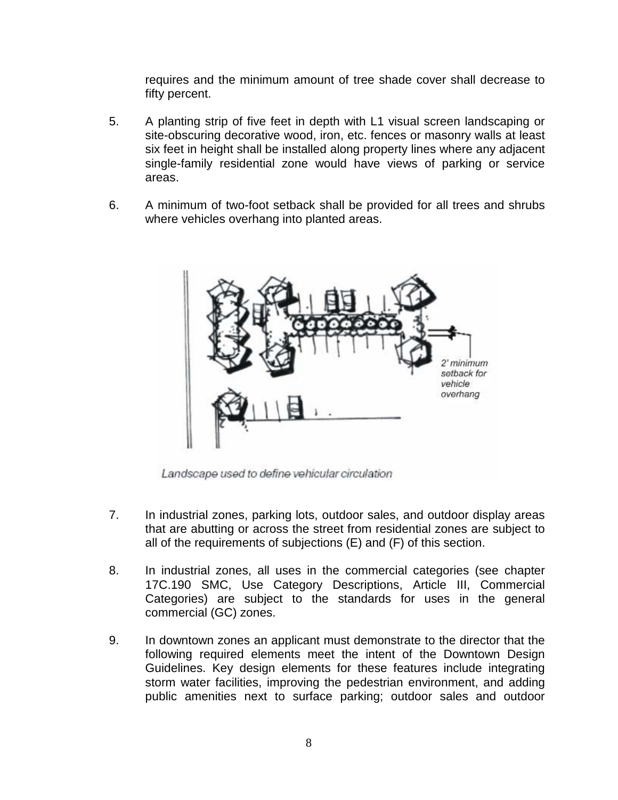requires and the minimum amount of tree shade cover shall decrease to fifty percent.

- 5. A planting strip of five feet in depth with L1 visual screen landscaping or site-obscuring decorative wood, iron, etc. fences or masonry walls at least six feet in height shall be installed along property lines where any adjacent single-family residential zone would have views of parking or service areas.
- 6. A minimum of two-foot setback shall be provided for all trees and shrubs where vehicles overhang into planted areas.



Landscape used to define vehicular circulation

- 7. In industrial zones, parking lots, outdoor sales, and outdoor display areas that are abutting or across the street from residential zones are subject to all of the requirements of subjections (E) and (F) of this section.
- 8. In industrial zones, all uses in the commercial categories (see chapter 17C.190 SMC, Use Category Descriptions, Article III, Commercial Categories) are subject to the standards for uses in the general commercial (GC) zones.
- 9. In downtown zones an applicant must demonstrate to the director that the following required elements meet the intent of the Downtown Design Guidelines. Key design elements for these features include integrating storm water facilities, improving the pedestrian environment, and adding public amenities next to surface parking; outdoor sales and outdoor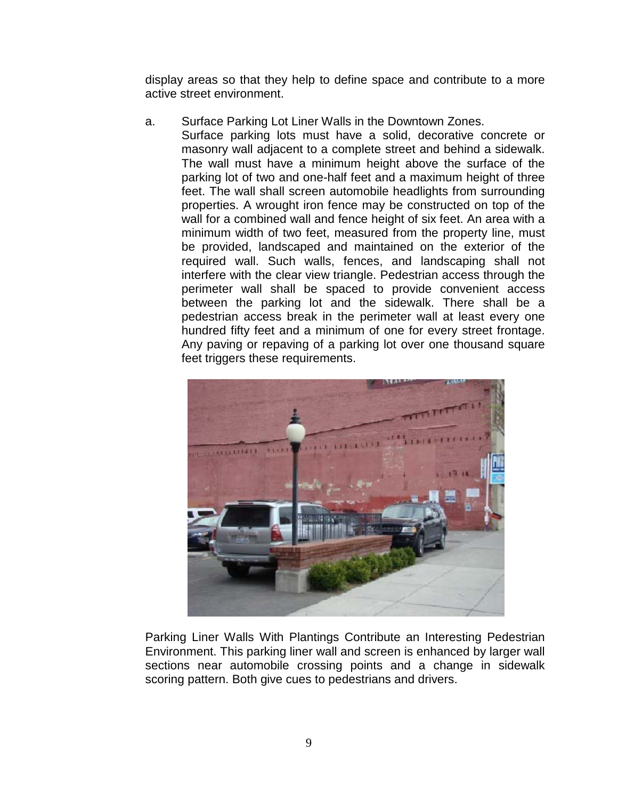display areas so that they help to define space and contribute to a more active street environment.

a. Surface Parking Lot Liner Walls in the Downtown Zones. Surface parking lots must have a solid, decorative concrete or masonry wall adjacent to a complete street and behind a sidewalk. The wall must have a minimum height above the surface of the parking lot of two and one-half feet and a maximum height of three feet. The wall shall screen automobile headlights from surrounding properties. A wrought iron fence may be constructed on top of the wall for a combined wall and fence height of six feet. An area with a minimum width of two feet, measured from the property line, must be provided, landscaped and maintained on the exterior of the required wall. Such walls, fences, and landscaping shall not interfere with the clear view triangle. Pedestrian access through the perimeter wall shall be spaced to provide convenient access between the parking lot and the sidewalk. There shall be a pedestrian access break in the perimeter wall at least every one hundred fifty feet and a minimum of one for every street frontage. Any paving or repaving of a parking lot over one thousand square feet triggers these requirements.



Parking Liner Walls With Plantings Contribute an Interesting Pedestrian Environment. This parking liner wall and screen is enhanced by larger wall sections near automobile crossing points and a change in sidewalk scoring pattern. Both give cues to pedestrians and drivers.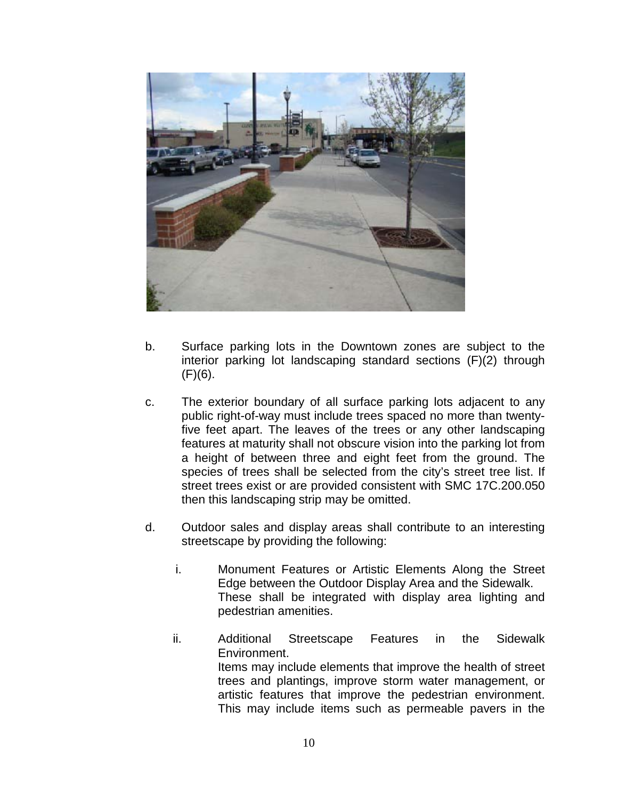

- b. Surface parking lots in the Downtown zones are subject to the interior parking lot landscaping standard sections (F)(2) through  $(F)(6)$ .
- c. The exterior boundary of all surface parking lots adjacent to any public right-of-way must include trees spaced no more than twentyfive feet apart. The leaves of the trees or any other landscaping features at maturity shall not obscure vision into the parking lot from a height of between three and eight feet from the ground. The species of trees shall be selected from the city's street tree list. If street trees exist or are provided consistent with SMC 17C.200.050 then this landscaping strip may be omitted.
- d. Outdoor sales and display areas shall contribute to an interesting streetscape by providing the following:
	- i. Monument Features or Artistic Elements Along the Street Edge between the Outdoor Display Area and the Sidewalk. These shall be integrated with display area lighting and pedestrian amenities.
	- ii. Additional Streetscape Features in the Sidewalk Environment. Items may include elements that improve the health of street trees and plantings, improve storm water management, or artistic features that improve the pedestrian environment. This may include items such as permeable pavers in the